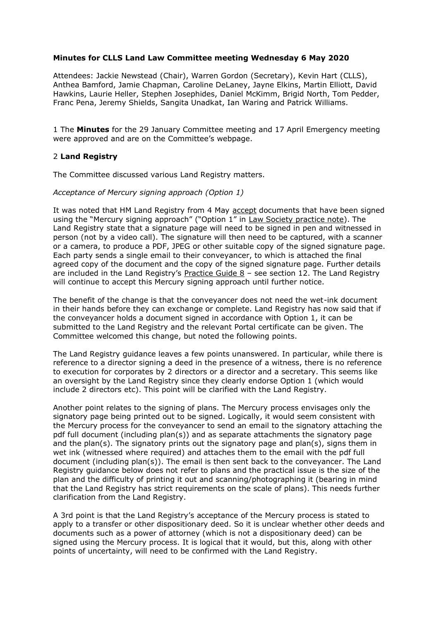# **Minutes for CLLS Land Law Committee meeting Wednesday 6 May 2020**

Attendees: Jackie Newstead (Chair), Warren Gordon (Secretary), Kevin Hart (CLLS), Anthea Bamford, Jamie Chapman, Caroline DeLaney, Jayne Elkins, Martin Elliott, David Hawkins, Laurie Heller, Stephen Josephides, Daniel McKimm, Brigid North, Tom Pedder, Franc Pena, Jeremy Shields, Sangita Unadkat, Ian Waring and Patrick Williams.

1 The **Minutes** for the 29 January Committee meeting and 17 April Emergency meeting were approved and are on the Committee's webpage.

## 2 **Land Registry**

The Committee discussed various Land Registry matters.

## *Acceptance of Mercury signing approach (Option 1)*

It was noted that HM Land Registry from 4 May [accept](https://www.gov.uk/government/news/changes-to-identity-verification-and-signing-deeds) documents that have been signed using the "Mercury signing approach" ("Option 1" in [Law Society practice note\)](https://www.lawsociety.org.uk/support-services/advice/practice-notes/execution-of-documents-by-virtual-means/). The Land Registry state that a signature page will need to be signed in pen and witnessed in person (not by a video call). The signature will then need to be captured, with a scanner or a camera, to produce a PDF, JPEG or other suitable copy of the signed signature page. Each party sends a single email to their conveyancer, to which is attached the final agreed copy of the document and the copy of the signed signature page. Further details are included in the Land Registry's Practice Guide  $8 -$  see section 12. The Land Registry will continue to accept this Mercury signing approach until further notice.

The benefit of the change is that the conveyancer does not need the wet-ink document in their hands before they can exchange or complete. Land Registry has now said that if the conveyancer holds a document signed in accordance with Option 1, it can be submitted to the Land Registry and the relevant Portal certificate can be given. The Committee welcomed this change, but noted the following points.

The Land Registry guidance leaves a few points unanswered. In particular, while there is reference to a director signing a deed in the presence of a witness, there is no reference to execution for corporates by 2 directors or a director and a secretary. This seems like an oversight by the Land Registry since they clearly endorse Option 1 (which would include 2 directors etc). This point will be clarified with the Land Registry.

Another point relates to the signing of plans. The Mercury process envisages only the signatory page being printed out to be signed. Logically, it would seem consistent with the Mercury process for the conveyancer to send an email to the signatory attaching the pdf full document (including plan(s)) and as separate attachments the signatory page and the plan(s). The signatory prints out the signatory page and plan(s), signs them in wet ink (witnessed where required) and attaches them to the email with the pdf full document (including plan(s)). The email is then sent back to the conveyancer. The Land Registry guidance below does not refer to plans and the practical issue is the size of the plan and the difficulty of printing it out and scanning/photographing it (bearing in mind that the Land Registry has strict requirements on the scale of plans). This needs further clarification from the Land Registry.

A 3rd point is that the Land Registry's acceptance of the Mercury process is stated to apply to a transfer or other dispositionary deed. So it is unclear whether other deeds and documents such as a power of attorney (which is not a dispositionary deed) can be signed using the Mercury process. It is logical that it would, but this, along with other points of uncertainty, will need to be confirmed with the Land Registry.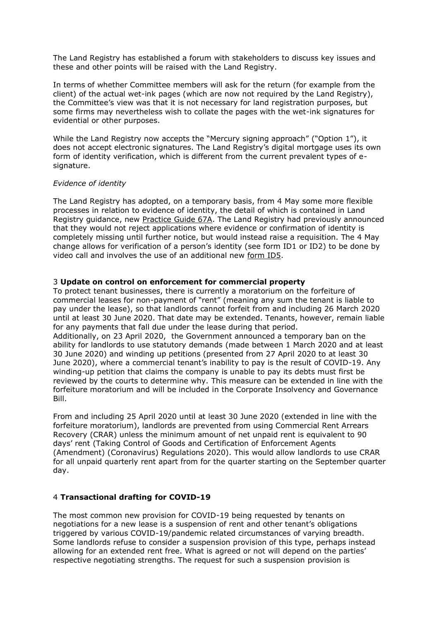The Land Registry has established a forum with stakeholders to discuss key issues and these and other points will be raised with the Land Registry.

In terms of whether Committee members will ask for the return (for example from the client) of the actual wet-ink pages (which are now not required by the Land Registry), the Committee's view was that it is not necessary for land registration purposes, but some firms may nevertheless wish to collate the pages with the wet-ink signatures for evidential or other purposes.

While the Land Registry now accepts the "Mercury signing approach" ("Option 1"), it does not accept electronic signatures. The Land Registry's digital mortgage uses its own form of identity verification, which is different from the current prevalent types of esignature.

## *Evidence of identity*

The Land Registry has adopted, on a temporary basis, from 4 May some more flexible processes in relation to evidence of identity, the detail of which is contained in Land Registry guidance, new [Practice Guide 67A.](https://www.gov.uk/government/publications/temporary-changes-to-hm-land-registrys-evidence-of-identity-requirements-pg67a/practice-guide-67a-temporary-changes-to-hm-land-registrys-evidence-of-identity-requirements) The Land Registry had previously announced that they would not reject applications where evidence or confirmation of identity is completely missing until further notice, but would instead raise a requisition. The 4 May change allows for verification of a person's identity (see form ID1 or ID2) to be done by video call and involves the use of an additional new [form ID5.](https://www.gov.uk/government/publications/certificate-to-be-given-by-a-conveyancer-where-a-persons-identity-has-been-verified-by-way-of-an-online-video-call-id5)

#### 3 **Update on control on enforcement for commercial property**

To protect tenant businesses, there is currently a moratorium on the forfeiture of commercial leases for non-payment of "rent" (meaning any sum the tenant is liable to pay under the lease), so that landlords cannot forfeit from and including 26 March 2020 until at least 30 June 2020. That date may be extended. Tenants, however, remain liable for any payments that fall due under the lease during that period. Additionally, on 23 April 2020, the Government announced a temporary ban on the ability for landlords to use statutory demands (made between 1 March 2020 and at least 30 June 2020) and winding up petitions (presented from 27 April 2020 to at least 30 June 2020), where a commercial tenant's inability to pay is the result of COVID-19. Any winding-up petition that claims the company is unable to pay its debts must first be reviewed by the courts to determine why. This measure can be extended in line with the forfeiture moratorium and will be included in the Corporate Insolvency and Governance Bill.

From and including 25 April 2020 until at least 30 June 2020 (extended in line with the forfeiture moratorium), landlords are prevented from using Commercial Rent Arrears Recovery (CRAR) unless the minimum amount of net unpaid rent is equivalent to 90 days' rent (Taking Control of Goods and Certification of Enforcement Agents (Amendment) (Coronavirus) Regulations 2020). This would allow landlords to use CRAR for all unpaid quarterly rent apart from for the quarter starting on the September quarter day.

## 4 **Transactional drafting for COVID-19**

The most common new provision for COVID-19 being requested by tenants on negotiations for a new lease is a suspension of rent and other tenant's obligations triggered by various COVID-19/pandemic related circumstances of varying breadth. Some landlords refuse to consider a suspension provision of this type, perhaps instead allowing for an extended rent free. What is agreed or not will depend on the parties' respective negotiating strengths. The request for such a suspension provision is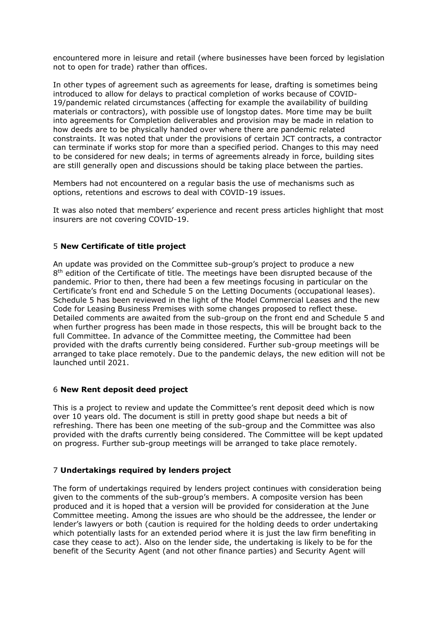encountered more in leisure and retail (where businesses have been forced by legislation not to open for trade) rather than offices.

In other types of agreement such as agreements for lease, drafting is sometimes being introduced to allow for delays to practical completion of works because of COVID-19/pandemic related circumstances (affecting for example the availability of building materials or contractors), with possible use of longstop dates. More time may be built into agreements for Completion deliverables and provision may be made in relation to how deeds are to be physically handed over where there are pandemic related constraints. It was noted that under the provisions of certain JCT contracts, a contractor can terminate if works stop for more than a specified period. Changes to this may need to be considered for new deals; in terms of agreements already in force, building sites are still generally open and discussions should be taking place between the parties.

Members had not encountered on a regular basis the use of mechanisms such as options, retentions and escrows to deal with COVID-19 issues.

It was also noted that members' experience and recent press articles highlight that most insurers are not covering COVID-19.

# 5 **New Certificate of title project**

An update was provided on the Committee sub-group's project to produce a new  $8<sup>th</sup>$  edition of the Certificate of title. The meetings have been disrupted because of the pandemic. Prior to then, there had been a few meetings focusing in particular on the Certificate's front end and Schedule 5 on the Letting Documents (occupational leases). Schedule 5 has been reviewed in the light of the Model Commercial Leases and the new Code for Leasing Business Premises with some changes proposed to reflect these. Detailed comments are awaited from the sub-group on the front end and Schedule 5 and when further progress has been made in those respects, this will be brought back to the full Committee. In advance of the Committee meeting, the Committee had been provided with the drafts currently being considered. Further sub-group meetings will be arranged to take place remotely. Due to the pandemic delays, the new edition will not be launched until 2021.

## 6 **New Rent deposit deed project**

This is a project to review and update the Committee's rent deposit deed which is now over 10 years old. The document is still in pretty good shape but needs a bit of refreshing. There has been one meeting of the sub-group and the Committee was also provided with the drafts currently being considered. The Committee will be kept updated on progress. Further sub-group meetings will be arranged to take place remotely.

## 7 **Undertakings required by lenders project**

The form of undertakings required by lenders project continues with consideration being given to the comments of the sub-group's members. A composite version has been produced and it is hoped that a version will be provided for consideration at the June Committee meeting. Among the issues are who should be the addressee, the lender or lender's lawyers or both (caution is required for the holding deeds to order undertaking which potentially lasts for an extended period where it is just the law firm benefiting in case they cease to act). Also on the lender side, the undertaking is likely to be for the benefit of the Security Agent (and not other finance parties) and Security Agent will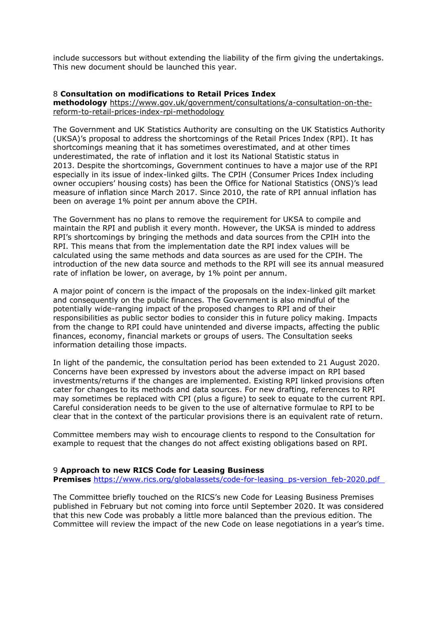include successors but without extending the liability of the firm giving the undertakings. This new document should be launched this year.

#### 8 **Consultation on modifications to Retail Prices Index**

**methodology** [https://www.gov.uk/government/consultations/a-consultation-on-the](https://www.gov.uk/government/consultations/a-consultation-on-the-reform-to-retail-prices-index-rpi-methodology)[reform-to-retail-prices-index-rpi-methodology](https://www.gov.uk/government/consultations/a-consultation-on-the-reform-to-retail-prices-index-rpi-methodology)

The Government and UK Statistics Authority are consulting on the UK Statistics Authority (UKSA)'s proposal to address the shortcomings of the Retail Prices Index (RPI). It has shortcomings meaning that it has sometimes overestimated, and at other times underestimated, the rate of inflation and it lost its National Statistic status in 2013. Despite the shortcomings, Government continues to have a major use of the RPI especially in its issue of index-linked gilts. The CPIH (Consumer Prices Index including owner occupiers' housing costs) has been the Office for National Statistics (ONS)'s lead measure of inflation since March 2017. Since 2010, the rate of RPI annual inflation has been on average 1% point per annum above the CPIH.

The Government has no plans to remove the requirement for UKSA to compile and maintain the RPI and publish it every month. However, the UKSA is minded to address RPI's shortcomings by bringing the methods and data sources from the CPIH into the RPI. This means that from the implementation date the RPI index values will be calculated using the same methods and data sources as are used for the CPIH. The introduction of the new data source and methods to the RPI will see its annual measured rate of inflation be lower, on average, by 1% point per annum.

A major point of concern is the impact of the proposals on the index-linked gilt market and consequently on the public finances. The Government is also mindful of the potentially wide-ranging impact of the proposed changes to RPI and of their responsibilities as public sector bodies to consider this in future policy making. Impacts from the change to RPI could have unintended and diverse impacts, affecting the public finances, economy, financial markets or groups of users. The Consultation seeks information detailing those impacts.

In light of the pandemic, the consultation period has been extended to 21 August 2020. Concerns have been expressed by investors about the adverse impact on RPI based investments/returns if the changes are implemented. Existing RPI linked provisions often cater for changes to its methods and data sources. For new drafting, references to RPI may sometimes be replaced with CPI (plus a figure) to seek to equate to the current RPI. Careful consideration needs to be given to the use of alternative formulae to RPI to be clear that in the context of the particular provisions there is an equivalent rate of return.

Committee members may wish to encourage clients to respond to the Consultation for example to request that the changes do not affect existing obligations based on RPI.

#### 9 **Approach to new RICS Code for Leasing Business**

**Premises** https://www.rics.org/globalassets/code-for-leasing\_ps-version\_feb-2020.pdf

The Committee briefly touched on the RICS's new Code for Leasing Business Premises published in February but not coming into force until September 2020. It was considered that this new Code was probably a little more balanced than the previous edition. The Committee will review the impact of the new Code on lease negotiations in a year's time.